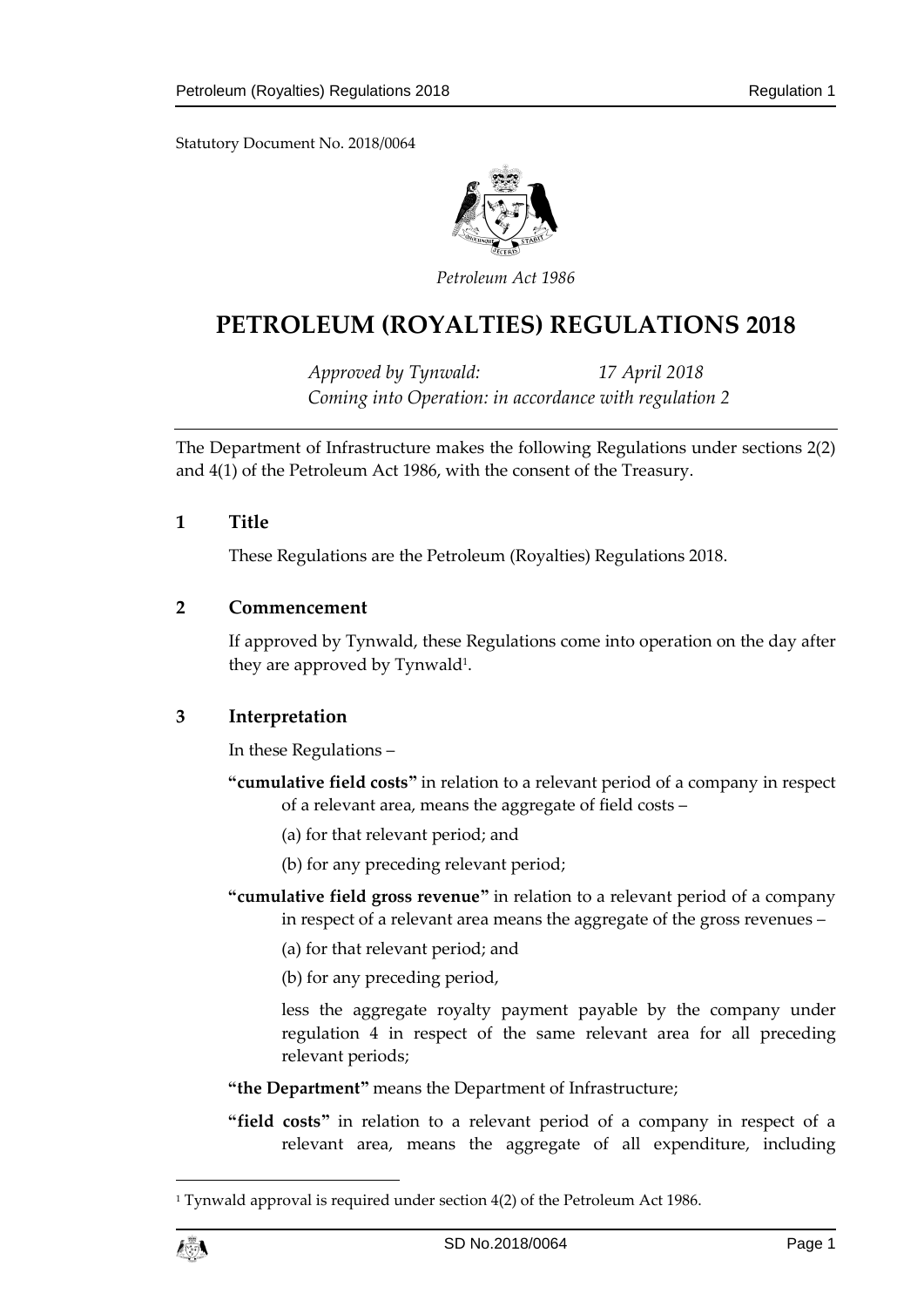Statutory Document No. 2018/0064



*Petroleum Act 1986*

# **PETROLEUM (ROYALTIES) REGULATIONS 2018**

*Approved by Tynwald: 17 April 2018 Coming into Operation: in accordance with regulation 2*

The Department of Infrastructure makes the following Regulations under sections 2(2) and 4(1) of the Petroleum Act 1986, with the consent of the Treasury.

**1 Title**

These Regulations are the Petroleum (Royalties) Regulations 2018.

#### **2 Commencement**

If approved by Tynwald, these Regulations come into operation on the day after they are approved by Tynwald<sup>1</sup>.

### **3 Interpretation**

In these Regulations –

- **"cumulative field costs"** in relation to a relevant period of a company in respect of a relevant area, means the aggregate of field costs –
	- (a) for that relevant period; and
	- (b) for any preceding relevant period;
- **"cumulative field gross revenue"** in relation to a relevant period of a company in respect of a relevant area means the aggregate of the gross revenues –
	- (a) for that relevant period; and
	- (b) for any preceding period,

less the aggregate royalty payment payable by the company under regulation 4 in respect of the same relevant area for all preceding relevant periods;

- **"the Department"** means the Department of Infrastructure;
- **"field costs"** in relation to a relevant period of a company in respect of a relevant area, means the aggregate of all expenditure, including

<sup>&</sup>lt;sup>1</sup> Tynwald approval is required under section 4(2) of the Petroleum Act 1986.



1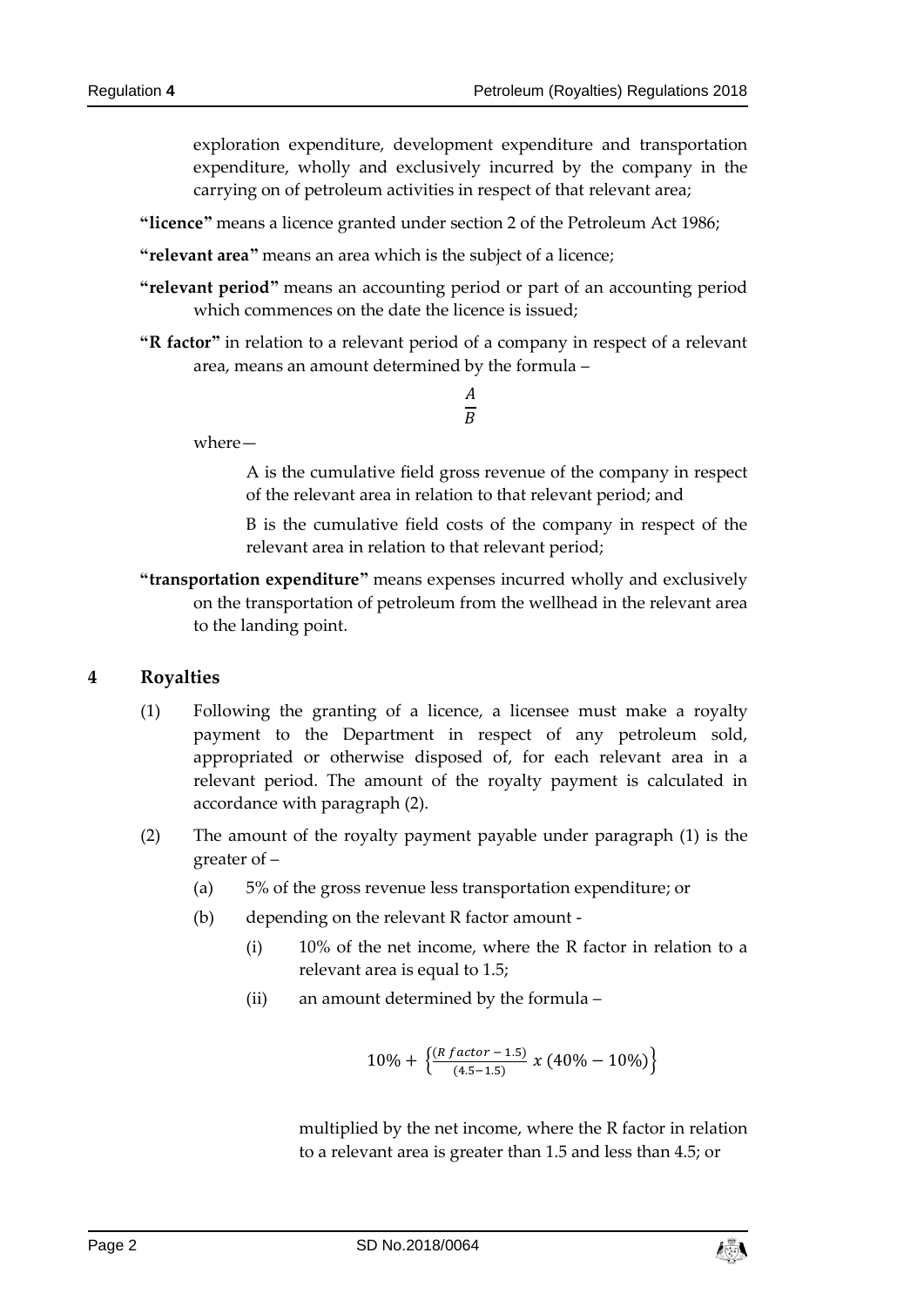exploration expenditure, development expenditure and transportation expenditure, wholly and exclusively incurred by the company in the carrying on of petroleum activities in respect of that relevant area;

**"licence"** means a licence granted under section 2 of the Petroleum Act 1986;

**"relevant area"** means an area which is the subject of a licence;

- **"relevant period"** means an accounting period or part of an accounting period which commences on the date the licence is issued;
- **"R factor"** in relation to a relevant period of a company in respect of a relevant area, means an amount determined by the formula –

$$
\frac{A}{B}
$$

where—

A is the cumulative field gross revenue of the company in respect of the relevant area in relation to that relevant period; and

B is the cumulative field costs of the company in respect of the relevant area in relation to that relevant period;

**"transportation expenditure"** means expenses incurred wholly and exclusively on the transportation of petroleum from the wellhead in the relevant area to the landing point.

#### **4 Royalties**

- (1) Following the granting of a licence, a licensee must make a royalty payment to the Department in respect of any petroleum sold, appropriated or otherwise disposed of, for each relevant area in a relevant period. The amount of the royalty payment is calculated in accordance with paragraph (2).
- (2) The amount of the royalty payment payable under paragraph (1) is the greater of –
	- (a) 5% of the gross revenue less transportation expenditure; or
	- (b) depending on the relevant R factor amount
		- (i) 10% of the net income, where the R factor in relation to a relevant area is equal to 1.5;
		- (ii) an amount determined by the formula –

$$
10\%+\left\{\frac{\left(R\,factor-1.5\right)}{\left(4.5-1.5\right)}\,x\left(40\%-10\%\right)\right\}
$$

multiplied by the net income, where the R factor in relation to a relevant area is greater than 1.5 and less than 4.5; or

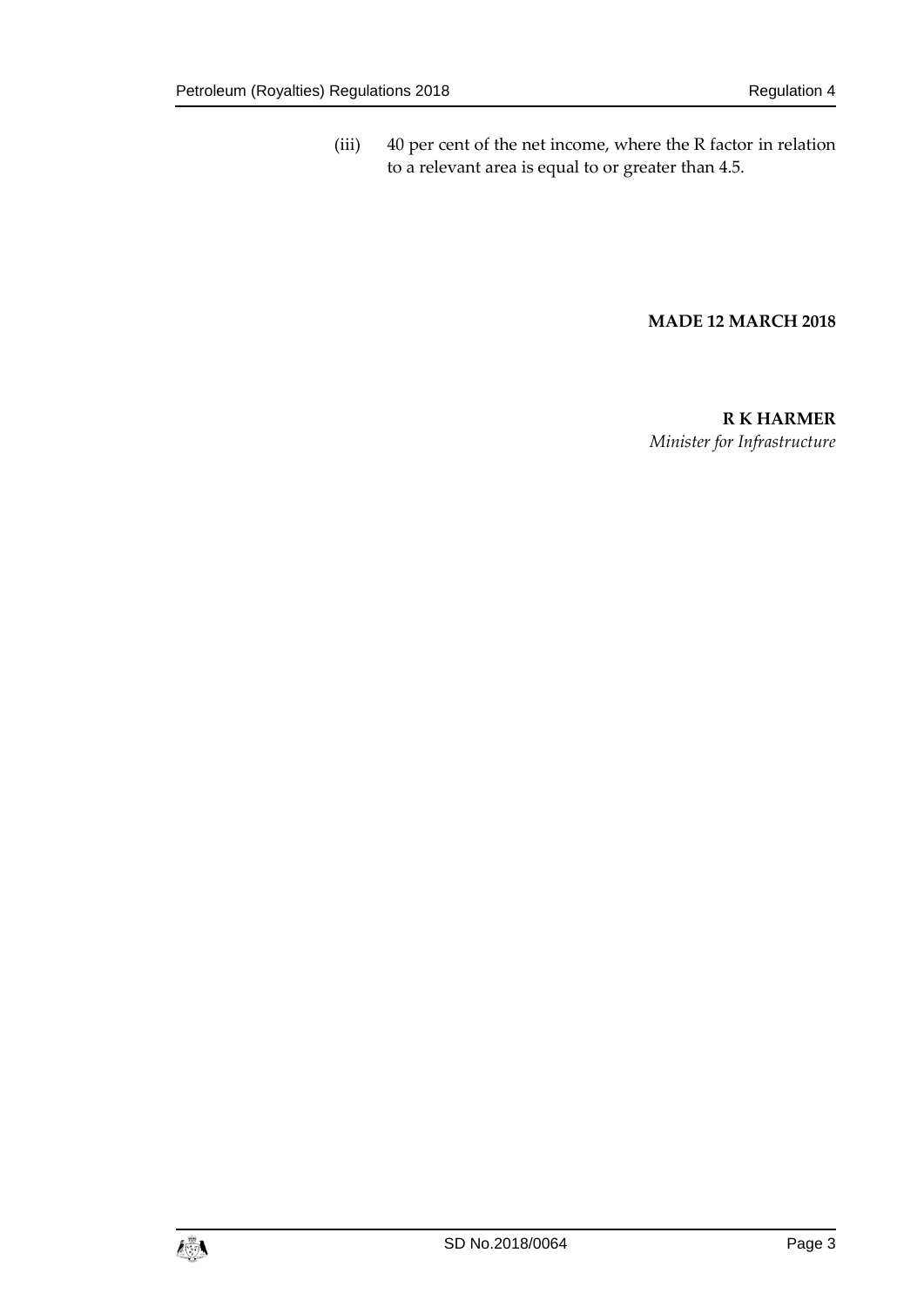(iii) 40 per cent of the net income, where the R factor in relation to a relevant area is equal to or greater than 4.5.

#### **MADE 12 MARCH 2018**

**R K HARMER** *Minister for Infrastructure*